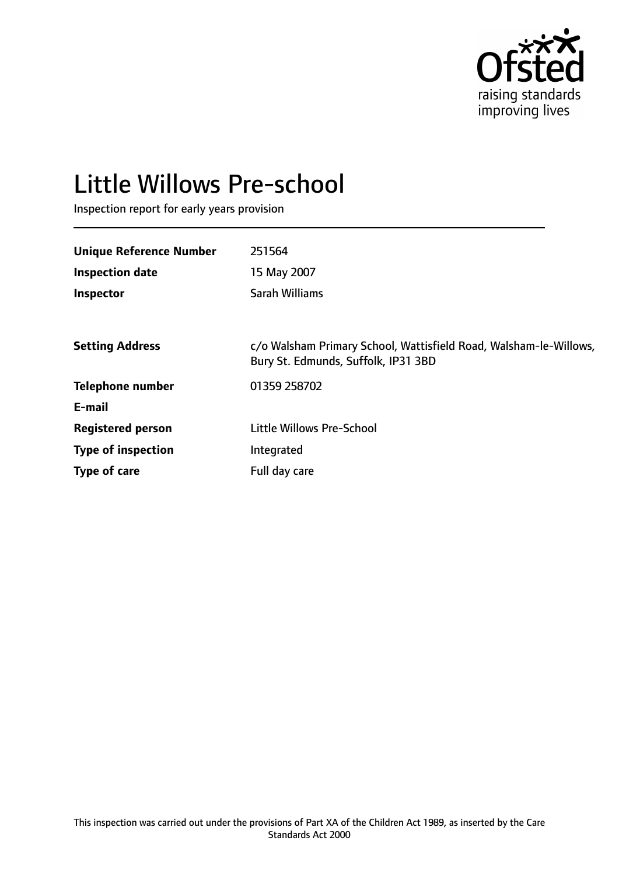

# Little Willows Pre-school

Inspection report for early years provision

| <b>Unique Reference Number</b> | 251564                                                                                                   |
|--------------------------------|----------------------------------------------------------------------------------------------------------|
| <b>Inspection date</b>         | 15 May 2007                                                                                              |
| <b>Inspector</b>               | Sarah Williams                                                                                           |
|                                |                                                                                                          |
| <b>Setting Address</b>         | c/o Walsham Primary School, Wattisfield Road, Walsham-le-Willows,<br>Bury St. Edmunds, Suffolk, IP31 3BD |
| <b>Telephone number</b>        | 01359 258702                                                                                             |
| E-mail                         |                                                                                                          |
| <b>Registered person</b>       | <b>Little Willows Pre-School</b>                                                                         |
| <b>Type of inspection</b>      | Integrated                                                                                               |
| Type of care                   | Full day care                                                                                            |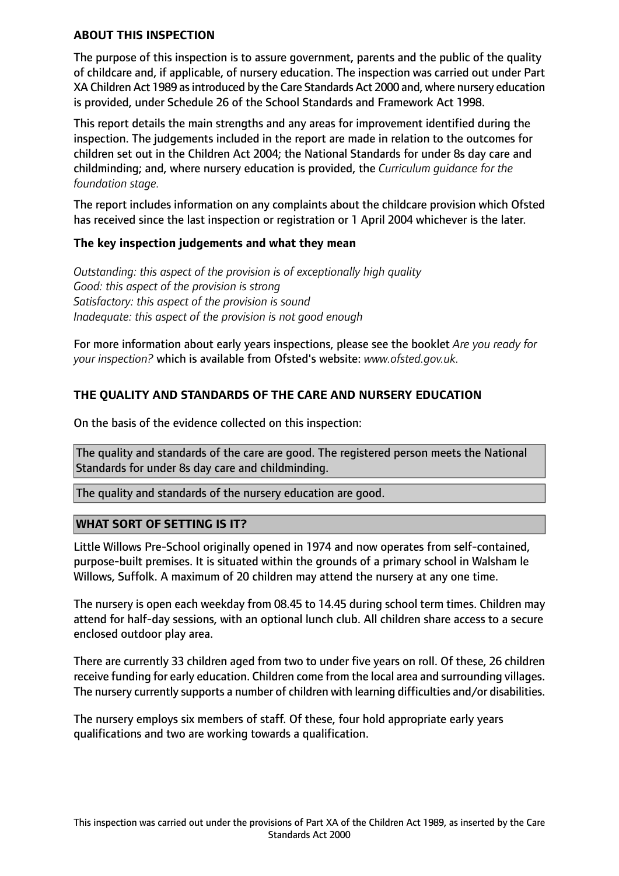### **ABOUT THIS INSPECTION**

The purpose of this inspection is to assure government, parents and the public of the quality of childcare and, if applicable, of nursery education. The inspection was carried out under Part XA Children Act 1989 asintroduced by the Care Standards Act 2000 and, where nursery education is provided, under Schedule 26 of the School Standards and Framework Act 1998.

This report details the main strengths and any areas for improvement identified during the inspection. The judgements included in the report are made in relation to the outcomes for children set out in the Children Act 2004; the National Standards for under 8s day care and childminding; and, where nursery education is provided, the *Curriculum guidance for the foundation stage.*

The report includes information on any complaints about the childcare provision which Ofsted has received since the last inspection or registration or 1 April 2004 whichever is the later.

#### **The key inspection judgements and what they mean**

*Outstanding: this aspect of the provision is of exceptionally high quality Good: this aspect of the provision is strong Satisfactory: this aspect of the provision is sound Inadequate: this aspect of the provision is not good enough*

For more information about early years inspections, please see the booklet *Are you ready for your inspection?* which is available from Ofsted's website: *www.ofsted.gov.uk.*

## **THE QUALITY AND STANDARDS OF THE CARE AND NURSERY EDUCATION**

On the basis of the evidence collected on this inspection:

The quality and standards of the care are good. The registered person meets the National Standards for under 8s day care and childminding.

The quality and standards of the nursery education are good.

## **WHAT SORT OF SETTING IS IT?**

Little Willows Pre-School originally opened in 1974 and now operates from self-contained, purpose-built premises. It is situated within the grounds of a primary school in Walsham le Willows, Suffolk. A maximum of 20 children may attend the nursery at any one time.

The nursery is open each weekday from 08.45 to 14.45 during school term times. Children may attend for half-day sessions, with an optional lunch club. All children share access to a secure enclosed outdoor play area.

There are currently 33 children aged from two to under five years on roll. Of these, 26 children receive funding for early education. Children come from the local area and surrounding villages. The nursery currently supports a number of children with learning difficulties and/or disabilities.

The nursery employs six members of staff. Of these, four hold appropriate early years qualifications and two are working towards a qualification.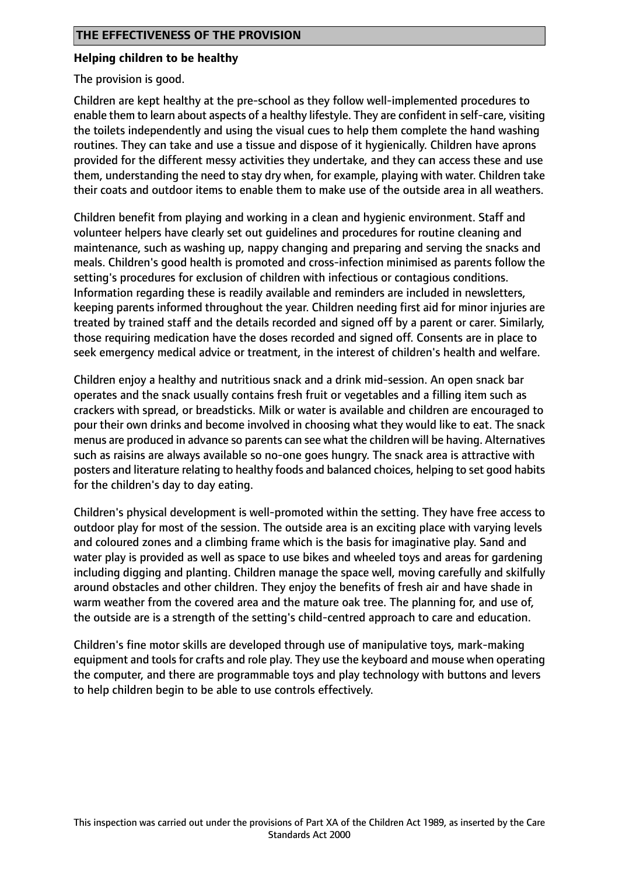### **Helping children to be healthy**

The provision is good.

Children are kept healthy at the pre-school as they follow well-implemented procedures to enable them to learn about aspects of a healthy lifestyle. They are confident in self-care, visiting the toilets independently and using the visual cues to help them complete the hand washing routines. They can take and use a tissue and dispose of it hygienically. Children have aprons provided for the different messy activities they undertake, and they can access these and use them, understanding the need to stay dry when, for example, playing with water. Children take their coats and outdoor items to enable them to make use of the outside area in all weathers.

Children benefit from playing and working in a clean and hygienic environment. Staff and volunteer helpers have clearly set out guidelines and procedures for routine cleaning and maintenance, such as washing up, nappy changing and preparing and serving the snacks and meals. Children's good health is promoted and cross-infection minimised as parents follow the setting's procedures for exclusion of children with infectious or contagious conditions. Information regarding these is readily available and reminders are included in newsletters, keeping parents informed throughout the year. Children needing first aid for minor injuries are treated by trained staff and the details recorded and signed off by a parent or carer. Similarly, those requiring medication have the doses recorded and signed off. Consents are in place to seek emergency medical advice or treatment, in the interest of children's health and welfare.

Children enjoy a healthy and nutritious snack and a drink mid-session. An open snack bar operates and the snack usually contains fresh fruit or vegetables and a filling item such as crackers with spread, or breadsticks. Milk or water is available and children are encouraged to pour their own drinks and become involved in choosing what they would like to eat. The snack menus are produced in advance so parents can see what the children will be having. Alternatives such as raisins are always available so no-one goes hungry. The snack area is attractive with posters and literature relating to healthy foods and balanced choices, helping to set good habits for the children's day to day eating.

Children's physical development is well-promoted within the setting. They have free access to outdoor play for most of the session. The outside area is an exciting place with varying levels and coloured zones and a climbing frame which is the basis for imaginative play. Sand and water play is provided as well as space to use bikes and wheeled toys and areas for gardening including digging and planting. Children manage the space well, moving carefully and skilfully around obstacles and other children. They enjoy the benefits of fresh air and have shade in warm weather from the covered area and the mature oak tree. The planning for, and use of, the outside are is a strength of the setting's child-centred approach to care and education.

Children's fine motor skills are developed through use of manipulative toys, mark-making equipment and tools for crafts and role play. They use the keyboard and mouse when operating the computer, and there are programmable toys and play technology with buttons and levers to help children begin to be able to use controls effectively.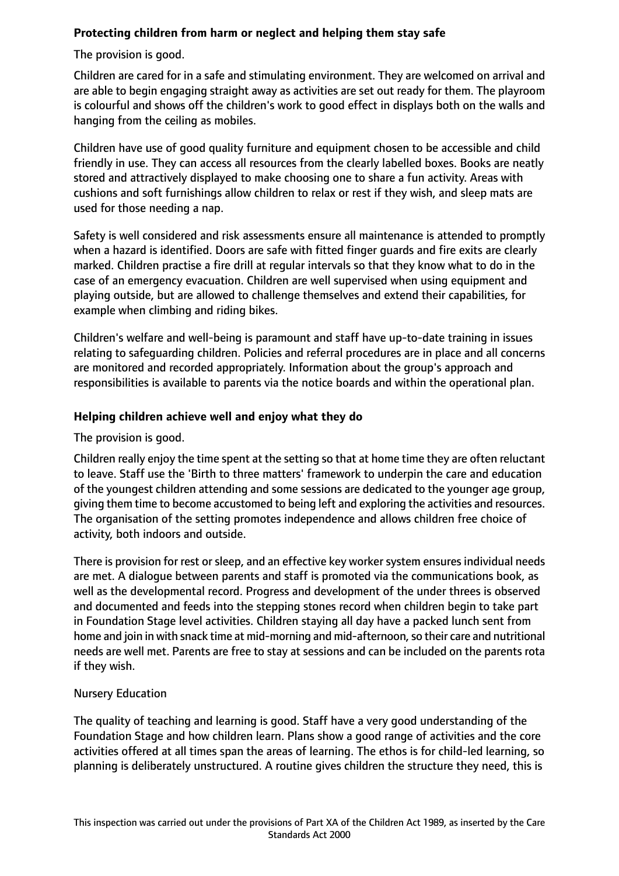## **Protecting children from harm or neglect and helping them stay safe**

The provision is good.

Children are cared for in a safe and stimulating environment. They are welcomed on arrival and are able to begin engaging straight away as activities are set out ready for them. The playroom is colourful and shows off the children's work to good effect in displays both on the walls and hanging from the ceiling as mobiles.

Children have use of good quality furniture and equipment chosen to be accessible and child friendly in use. They can access all resources from the clearly labelled boxes. Books are neatly stored and attractively displayed to make choosing one to share a fun activity. Areas with cushions and soft furnishings allow children to relax or rest if they wish, and sleep mats are used for those needing a nap.

Safety is well considered and risk assessments ensure all maintenance is attended to promptly when a hazard is identified. Doors are safe with fitted finger guards and fire exits are clearly marked. Children practise a fire drill at regular intervals so that they know what to do in the case of an emergency evacuation. Children are well supervised when using equipment and playing outside, but are allowed to challenge themselves and extend their capabilities, for example when climbing and riding bikes.

Children's welfare and well-being is paramount and staff have up-to-date training in issues relating to safeguarding children. Policies and referral procedures are in place and all concerns are monitored and recorded appropriately. Information about the group's approach and responsibilities is available to parents via the notice boards and within the operational plan.

## **Helping children achieve well and enjoy what they do**

# The provision is good.

Children really enjoy the time spent at the setting so that at home time they are often reluctant to leave. Staff use the 'Birth to three matters' framework to underpin the care and education of the youngest children attending and some sessions are dedicated to the younger age group, giving them time to become accustomed to being left and exploring the activities and resources. The organisation of the setting promotes independence and allows children free choice of activity, both indoors and outside.

There is provision for rest or sleep, and an effective key worker system ensures individual needs are met. A dialogue between parents and staff is promoted via the communications book, as well as the developmental record. Progress and development of the under threes is observed and documented and feeds into the stepping stones record when children begin to take part in Foundation Stage level activities. Children staying all day have a packed lunch sent from home and join in with snack time at mid-morning and mid-afternoon, so their care and nutritional needs are well met. Parents are free to stay at sessions and can be included on the parents rota if they wish.

## Nursery Education

The quality of teaching and learning is good. Staff have a very good understanding of the Foundation Stage and how children learn. Plans show a good range of activities and the core activities offered at all times span the areas of learning. The ethos is for child-led learning, so planning is deliberately unstructured. A routine gives children the structure they need, this is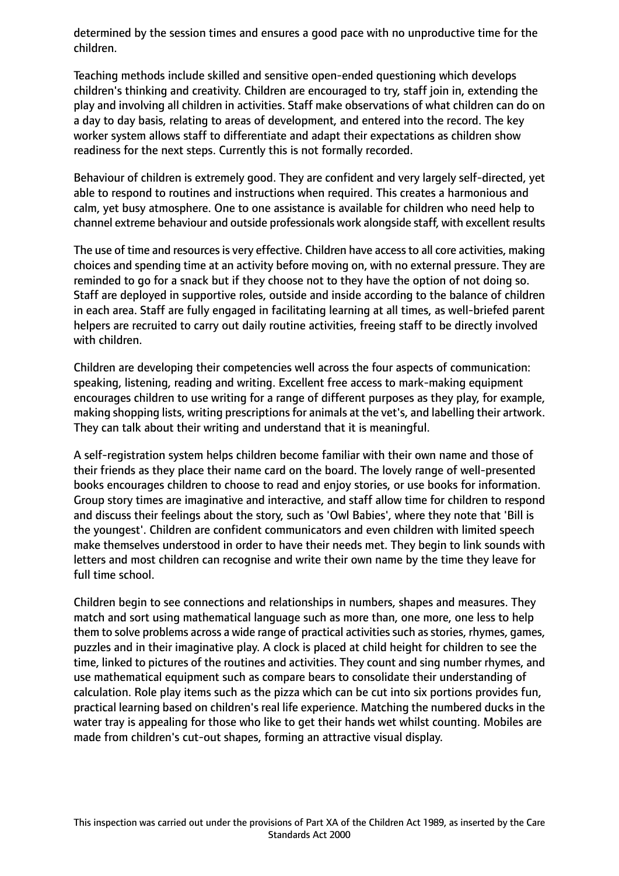determined by the session times and ensures a good pace with no unproductive time for the children.

Teaching methods include skilled and sensitive open-ended questioning which develops children's thinking and creativity. Children are encouraged to try, staff join in, extending the play and involving all children in activities. Staff make observations of what children can do on a day to day basis, relating to areas of development, and entered into the record. The key worker system allows staff to differentiate and adapt their expectations as children show readiness for the next steps. Currently this is not formally recorded.

Behaviour of children is extremely good. They are confident and very largely self-directed, yet able to respond to routines and instructions when required. This creates a harmonious and calm, yet busy atmosphere. One to one assistance is available for children who need help to channel extreme behaviour and outside professionals work alongside staff, with excellent results

The use of time and resources is very effective. Children have access to all core activities, making choices and spending time at an activity before moving on, with no external pressure. They are reminded to go for a snack but if they choose not to they have the option of not doing so. Staff are deployed in supportive roles, outside and inside according to the balance of children in each area. Staff are fully engaged in facilitating learning at all times, as well-briefed parent helpers are recruited to carry out daily routine activities, freeing staff to be directly involved with children.

Children are developing their competencies well across the four aspects of communication: speaking, listening, reading and writing. Excellent free access to mark-making equipment encourages children to use writing for a range of different purposes as they play, for example, making shopping lists, writing prescriptions for animals at the vet's, and labelling their artwork. They can talk about their writing and understand that it is meaningful.

A self-registration system helps children become familiar with their own name and those of their friends as they place their name card on the board. The lovely range of well-presented books encourages children to choose to read and enjoy stories, or use books for information. Group story times are imaginative and interactive, and staff allow time for children to respond and discuss their feelings about the story, such as 'Owl Babies', where they note that 'Bill is the youngest'. Children are confident communicators and even children with limited speech make themselves understood in order to have their needs met. They begin to link sounds with letters and most children can recognise and write their own name by the time they leave for full time school.

Children begin to see connections and relationships in numbers, shapes and measures. They match and sort using mathematical language such as more than, one more, one less to help them to solve problems across a wide range of practical activities such as stories, rhymes, games, puzzles and in their imaginative play. A clock is placed at child height for children to see the time, linked to pictures of the routines and activities. They count and sing number rhymes, and use mathematical equipment such as compare bears to consolidate their understanding of calculation. Role play items such as the pizza which can be cut into six portions provides fun, practical learning based on children's real life experience. Matching the numbered ducks in the water tray is appealing for those who like to get their hands wet whilst counting. Mobiles are made from children's cut-out shapes, forming an attractive visual display.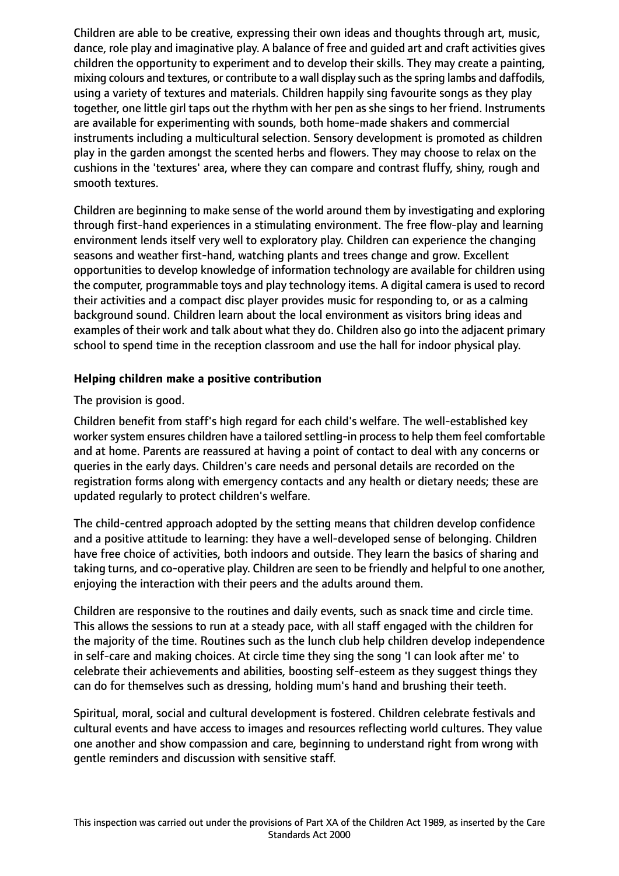Children are able to be creative, expressing their own ideas and thoughts through art, music, dance, role play and imaginative play. A balance of free and guided art and craft activities gives children the opportunity to experiment and to develop their skills. They may create a painting, mixing colours and textures, or contribute to a wall display such as the spring lambs and daffodils, using a variety of textures and materials. Children happily sing favourite songs as they play together, one little girl taps out the rhythm with her pen as she sings to her friend. Instruments are available for experimenting with sounds, both home-made shakers and commercial instruments including a multicultural selection. Sensory development is promoted as children play in the garden amongst the scented herbs and flowers. They may choose to relax on the cushions in the 'textures' area, where they can compare and contrast fluffy, shiny, rough and smooth textures.

Children are beginning to make sense of the world around them by investigating and exploring through first-hand experiences in a stimulating environment. The free flow-play and learning environment lends itself very well to exploratory play. Children can experience the changing seasons and weather first-hand, watching plants and trees change and grow. Excellent opportunities to develop knowledge of information technology are available for children using the computer, programmable toys and play technology items. A digital camera is used to record their activities and a compact disc player provides music for responding to, or as a calming background sound. Children learn about the local environment as visitors bring ideas and examples of their work and talk about what they do. Children also go into the adjacent primary school to spend time in the reception classroom and use the hall for indoor physical play.

## **Helping children make a positive contribution**

## The provision is good.

Children benefit from staff's high regard for each child's welfare. The well-established key worker system ensures children have a tailored settling-in process to help them feel comfortable and at home. Parents are reassured at having a point of contact to deal with any concerns or queries in the early days. Children's care needs and personal details are recorded on the registration forms along with emergency contacts and any health or dietary needs; these are updated regularly to protect children's welfare.

The child-centred approach adopted by the setting means that children develop confidence and a positive attitude to learning: they have a well-developed sense of belonging. Children have free choice of activities, both indoors and outside. They learn the basics of sharing and taking turns, and co-operative play. Children are seen to be friendly and helpful to one another, enjoying the interaction with their peers and the adults around them.

Children are responsive to the routines and daily events, such as snack time and circle time. This allows the sessions to run at a steady pace, with all staff engaged with the children for the majority of the time. Routines such as the lunch club help children develop independence in self-care and making choices. At circle time they sing the song 'I can look after me' to celebrate their achievements and abilities, boosting self-esteem as they suggest things they can do for themselves such as dressing, holding mum's hand and brushing their teeth.

Spiritual, moral, social and cultural development is fostered. Children celebrate festivals and cultural events and have access to images and resources reflecting world cultures. They value one another and show compassion and care, beginning to understand right from wrong with gentle reminders and discussion with sensitive staff.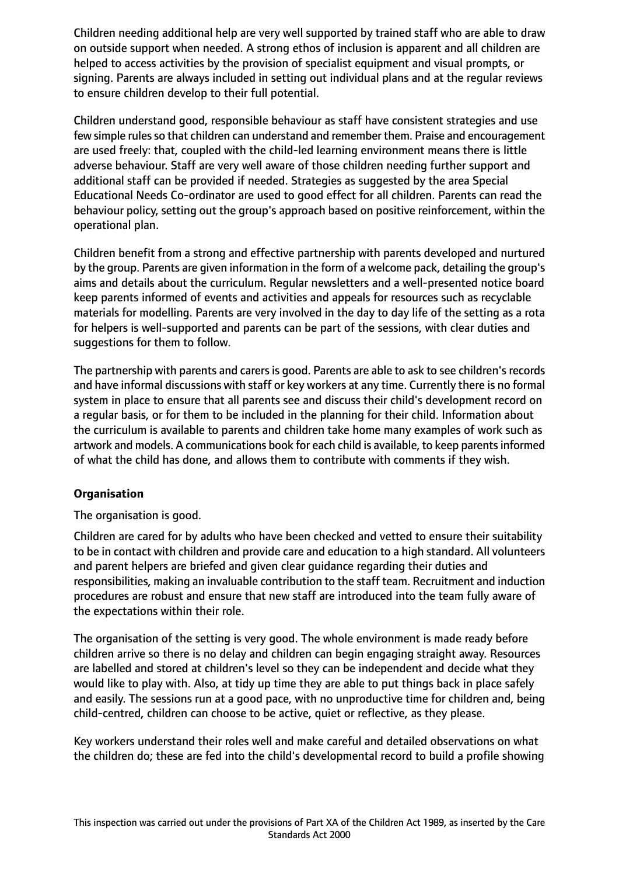Children needing additional help are very well supported by trained staff who are able to draw on outside support when needed. A strong ethos of inclusion is apparent and all children are helped to access activities by the provision of specialist equipment and visual prompts, or signing. Parents are always included in setting out individual plans and at the regular reviews to ensure children develop to their full potential.

Children understand good, responsible behaviour as staff have consistent strategies and use few simple rules so that children can understand and remember them. Praise and encouragement are used freely: that, coupled with the child-led learning environment means there is little adverse behaviour. Staff are very well aware of those children needing further support and additional staff can be provided if needed. Strategies as suggested by the area Special Educational Needs Co-ordinator are used to good effect for all children. Parents can read the behaviour policy, setting out the group's approach based on positive reinforcement, within the operational plan.

Children benefit from a strong and effective partnership with parents developed and nurtured by the group. Parents are given information in the form of a welcome pack, detailing the group's aims and details about the curriculum. Regular newsletters and a well-presented notice board keep parents informed of events and activities and appeals for resources such as recyclable materials for modelling. Parents are very involved in the day to day life of the setting as a rota for helpers is well-supported and parents can be part of the sessions, with clear duties and suggestions for them to follow.

The partnership with parents and carers is good. Parents are able to ask to see children's records and have informal discussions with staff or key workers at any time. Currently there is no formal system in place to ensure that all parents see and discuss their child's development record on a regular basis, or for them to be included in the planning for their child. Information about the curriculum is available to parents and children take home many examples of work such as artwork and models. A communications book for each child is available, to keep parents informed of what the child has done, and allows them to contribute with comments if they wish.

## **Organisation**

The organisation is good.

Children are cared for by adults who have been checked and vetted to ensure their suitability to be in contact with children and provide care and education to a high standard. All volunteers and parent helpers are briefed and given clear guidance regarding their duties and responsibilities, making an invaluable contribution to the staff team. Recruitment and induction procedures are robust and ensure that new staff are introduced into the team fully aware of the expectations within their role.

The organisation of the setting is very good. The whole environment is made ready before children arrive so there is no delay and children can begin engaging straight away. Resources are labelled and stored at children's level so they can be independent and decide what they would like to play with. Also, at tidy up time they are able to put things back in place safely and easily. The sessions run at a good pace, with no unproductive time for children and, being child-centred, children can choose to be active, quiet or reflective, as they please.

Key workers understand their roles well and make careful and detailed observations on what the children do; these are fed into the child's developmental record to build a profile showing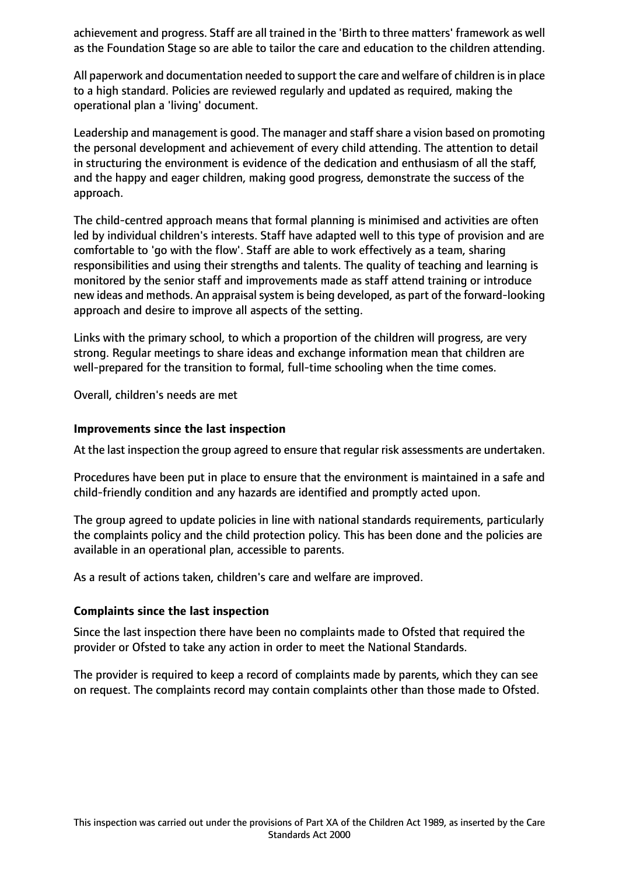achievement and progress. Staff are all trained in the 'Birth to three matters' framework as well as the Foundation Stage so are able to tailor the care and education to the children attending.

All paperwork and documentation needed to support the care and welfare of children isin place to a high standard. Policies are reviewed regularly and updated as required, making the operational plan a 'living' document.

Leadership and management is good. The manager and staff share a vision based on promoting the personal development and achievement of every child attending. The attention to detail in structuring the environment is evidence of the dedication and enthusiasm of all the staff, and the happy and eager children, making good progress, demonstrate the success of the approach.

The child-centred approach means that formal planning is minimised and activities are often led by individual children's interests. Staff have adapted well to this type of provision and are comfortable to 'go with the flow'. Staff are able to work effectively as a team, sharing responsibilities and using their strengths and talents. The quality of teaching and learning is monitored by the senior staff and improvements made as staff attend training or introduce new ideas and methods. An appraisal system is being developed, as part of the forward-looking approach and desire to improve all aspects of the setting.

Links with the primary school, to which a proportion of the children will progress, are very strong. Regular meetings to share ideas and exchange information mean that children are well-prepared for the transition to formal, full-time schooling when the time comes.

Overall, children's needs are met

#### **Improvements since the last inspection**

At the last inspection the group agreed to ensure that regular risk assessments are undertaken.

Procedures have been put in place to ensure that the environment is maintained in a safe and child-friendly condition and any hazards are identified and promptly acted upon.

The group agreed to update policies in line with national standards requirements, particularly the complaints policy and the child protection policy. This has been done and the policies are available in an operational plan, accessible to parents.

As a result of actions taken, children's care and welfare are improved.

## **Complaints since the last inspection**

Since the last inspection there have been no complaints made to Ofsted that required the provider or Ofsted to take any action in order to meet the National Standards.

The provider is required to keep a record of complaints made by parents, which they can see on request. The complaints record may contain complaints other than those made to Ofsted.